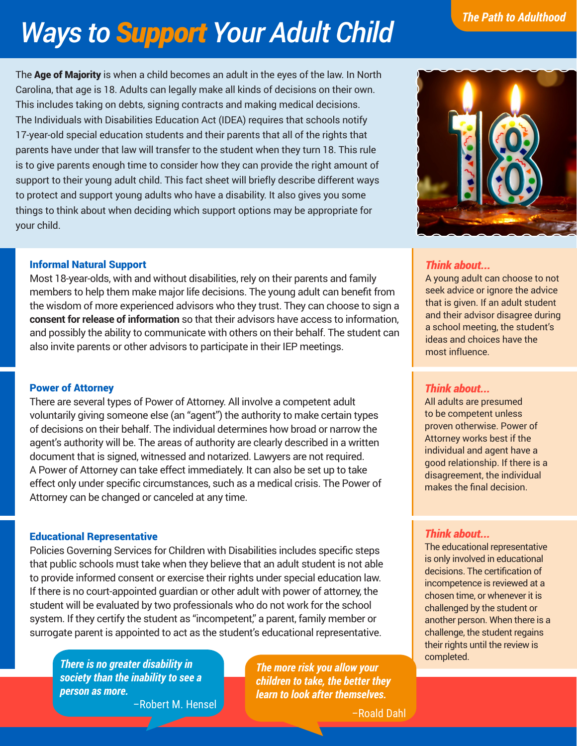# *Ways to Support Your Adult Child*

The **Age of Majority** is when a child becomes an adult in the eyes of the law. In North Carolina, that age is 18. Adults can legally make all kinds of decisions on their own. This includes taking on debts, signing contracts and making medical decisions. The Individuals with Disabilities Education Act (IDEA) requires that schools notify 17-year-old special education students and their parents that all of the rights that parents have under that law will transfer to the student when they turn 18. This rule is to give parents enough time to consider how they can provide the right amount of support to their young adult child. This fact sheet will briefly describe different ways to protect and support young adults who have a disability. It also gives you some things to think about when deciding which support options may be appropriate for your child.

### Informal Natural Support

Most 18-year-olds, with and without disabilities, rely on their parents and family members to help them make major life decisions. The young adult can benefit from the wisdom of more experienced advisors who they trust. They can choose to sign a **consent for release of information** so that their advisors have access to information, and possibly the ability to communicate with others on their behalf. The student can also invite parents or other advisors to participate in their IEP meetings.

#### Power of Attorney

There are several types of Power of Attorney. All involve a competent adult voluntarily giving someone else (an "agent") the authority to make certain types of decisions on their behalf. The individual determines how broad or narrow the agent's authority will be. The areas of authority are clearly described in a written document that is signed, witnessed and notarized. Lawyers are not required. A Power of Attorney can take effect immediately. It can also be set up to take effect only under specific circumstances, such as a medical crisis. The Power of Attorney can be changed or canceled at any time.

#### Educational Representative

Policies Governing Services for Children with Disabilities includes specific steps that public schools must take when they believe that an adult student is not able to provide informed consent or exercise their rights under special education law. If there is no court-appointed guardian or other adult with power of attorney, the student will be evaluated by two professionals who do not work for the school system. If they certify the student as "incompetent," a parent, family member or surrogate parent is appointed to act as the student's educational representative.

*There is no greater disability in society than the inability to see a person as more.*

–Robert M. Hensel

*The more risk you allow your children to take, the better they learn to look after themselves.*

–Roald Dahl

A young adult can choose to not seek advice or ignore the advice that is given. If an adult student and their advisor disagree during a school meeting, the student's ideas and choices have the most influence.

#### *Think about...*

*Think about...*

All adults are presumed to be competent unless proven otherwise. Power of Attorney works best if the individual and agent have a good relationship. If there is a disagreement, the individual makes the final decision.

#### *Think about...*

The educational representative is only involved in educational decisions. The certification of incompetence is reviewed at a chosen time, or whenever it is challenged by the student or another person. When there is a challenge, the student regains their rights until the review is completed.

# *The Path to Adulthood*